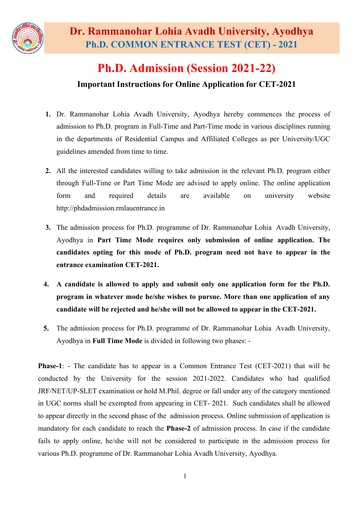

# Ph.D. Admission (Session 2021-22) Important Instructions for Online Application for CET-2021

- 1. Dr. Rammanohar Lohia Avadh University, Ayodhya hereby commences the process of admission to Ph.D. program in Full-Time and Part-Time mode in various disciplines running in the departments of Residential Campus and Affiliated Colleges as per University/UGC guidelines amended from time to time.
- 2. All the interested candidates willing to take admission in the relevant Ph.D. program either through Full-Time or Part Time Mode are advised to apply online. The online application form and required details are available on university website [http://phdadmission.rmlauentrance.in](http://phdadmission.rmlauentrance.in/)
- 3. The admission process for Ph.D. programme of Dr. Rammanohar Lohia Avadh University, Ayodhya in Part Time Mode requires only submission of online application. The candidates opting for this mode of Ph.D. program need not have to appear in the entrance examination CET-2021.
- 4. A candidate is allowed to apply and submit only one application form for the Ph.D. program in whatever mode he/she wishes to pursue. More than one application of any candidate will be rejected and he/she will not be allowed to appear in the CET-2021.
- 5. The admission process for Ph.D. programme of Dr. Rammanohar Lohia Avadh University, Ayodhya in Full Time Mode is divided in following two phases: -

Phase-1: - The candidate has to appear in a Common Entrance Test (CET-2021) that will be conducted by the University for the session 2021-2022. Candidates who had qualified JRF/NET/UP-SLET examination or hold M.Phil. degree or fall under any of the category mentioned in UGC norms shall be exempted from appearing in CET- 2021. Such candidates shall be allowed to appear directly in the second phase of the admission process. Online submission of application is mandatory for each candidate to reach the Phase-2 of admission process. In case if the candidate fails to apply online, he/she will not be considered to participate in the admission process for various Ph.D. programme of Dr. Rammanohar Lohia Avadh University, Ayodhya.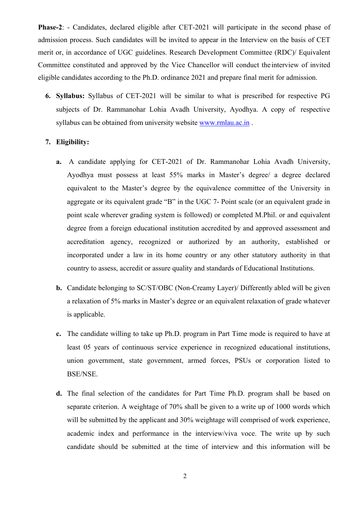Phase-2: - Candidates, declared eligible after CET-2021 will participate in the second phase of admission process. Such candidates will be invited to appear in the Interview on the basis of CET merit or, in accordance of UGC guidelines. Research Development Committee (RDC)/ Equivalent Committee constituted and approved by the Vice Chancellor will conduct the interview of invited eligible candidates according to the Ph.D. ordinance 2021 and prepare final merit for admission.

6. Syllabus: Syllabus of CET-2021 will be similar to what is prescribed for respective PG subjects of Dr. Rammanohar Lohia Avadh University, Ayodhya. A copy of respective syllabus can be obtained from university website [www.rmlau.ac.in](http://www.rmlau.ac.in/) .

### 7. Eligibility:

- a. A candidate applying for CET-2021 of Dr. Rammanohar Lohia Avadh University, Ayodhya must possess at least 55% marks in Master's degree/ a degree declared equivalent to the Master's degree by the equivalence committee of the University in aggregate or its equivalent grade "B" in the UGC 7- Point scale (or an equivalent grade in point scale wherever grading system is followed) or completed M.Phil. or and equivalent degree from a foreign educational institution accredited by and approved assessment and accreditation agency, recognized or authorized by an authority, established or incorporated under a law in its home country or any other statutory authority in that country to assess, accredit or assure quality and standards of Educational Institutions.
- b. Candidate belonging to SC/ST/OBC (Non-Creamy Layer)/ Differently abled will be given a relaxation of 5% marks in Master's degree or an equivalent relaxation of grade whatever is applicable.
- c. The candidate willing to take up Ph.D. program in Part Time mode is required to have at least 05 years of continuous service experience in recognized educational institutions, union government, state government, armed forces, PSUs or corporation listed to BSE/NSE.
- d. The final selection of the candidates for Part Time Ph.D. program shall be based on separate criterion. A weightage of 70% shall be given to a write up of 1000 words which will be submitted by the applicant and 30% weightage will comprised of work experience, academic index and performance in the interview/viva voce. The write up by such candidate should be submitted at the time of interview and this information will be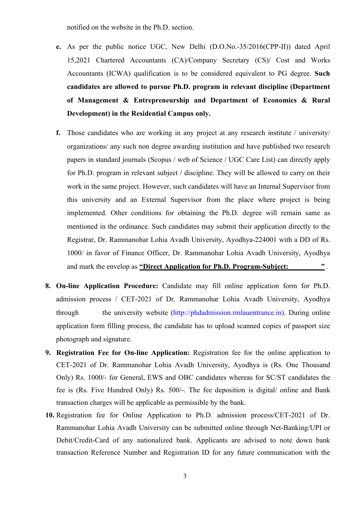notified on the website in the Ph.D. section.

- e. As per the public notice UGC, New Delhi (D.O.No.-35/2016(CPP-II)) dated April 15,2021 Chartered Accountants (CA)/Company Secretary (CS)/ Cost and Works Accountants (ICWA) qualification is to be considered equivalent to PG degree. Such candidates are allowed to pursue Ph.D. program in relevant discipline (Department of Management & Entrepreneurship and Department of Economics & Rural Development) in the Residential Campus only.
- f. Those candidates who are working in any project at any research institute / university/ organizations/ any such non degree awarding institution and have published two research papers in standard journals (Scopus / web of Science / UGC Care List) can directly apply for Ph.D. program in relevant subject / discipline. They will be allowed to carry on their work in the same project. However, such candidates will have an Internal Supervisor from this university and an External Supervisor from the place where project is being implemented. Other conditions for obtaining the Ph.D. degree will remain same as mentioned in the ordinance. Such candidates may submit their application directly to the Registrar, Dr. Rammanohar Lohia Avadh University, Ayodhya-224001 with a DD of Rs. 1000/ in favor of Finance Officer, Dr. Rammanohar Lohia Avadh University, Ayodhya and mark the envelop as "Direct Application for Ph.D. Program-Subject:
- 8. On-line Application Procedure: Candidate may fill online application form for Ph.D. admission process / CET-2021 of Dr. Rammanohar Lohia Avadh University, Ayodhya through the university website [\(http://phdadmission.rmlauentrance.in\).](http://phdadmission.rmlauentrance.in)./) During online application form filling process, the candidate has to upload scanned copies of passport size photograph and signature.
- 9. Registration Fee for On-line Application: Registration fee for the online application to CET-2021 of Dr. Rammanohar Lohia Avadh University, Ayodhya is (Rs. One Thousand Only) Rs. 1000/- for General, EWS and OBC candidates whereas for SC/ST candidates the fee is (Rs. Five Hundred Only) Rs. 500/-. The fee deposition is digital/ online and Bank transaction charges will be applicable as permissible by the bank.
- 10. Registration fee for Online Application to Ph.D. admission process/CET-2021 of Dr. Rammanohar Lohia Avadh University can be submitted online through Net-Banking/UPI or Debit/Credit-Card of any nationalized bank. Applicants are advised to note down bank transaction Reference Number and Registration ID for any future communication with the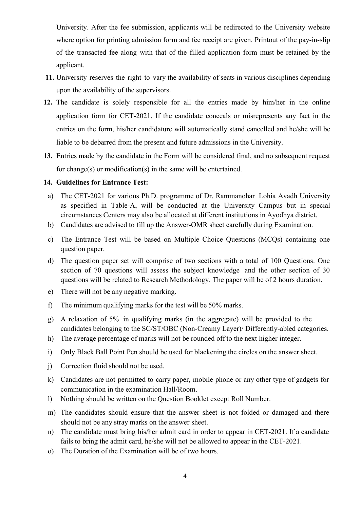University. After the fee submission, applicants will be redirected to the University website where option for printing admission form and fee receipt are given. Printout of the pay-in-slip of the transacted fee along with that of the filled application form must be retained by the applicant.

- 11. University reserves the right to vary the availability of seats in various disciplines depending upon the availability of the supervisors.
- 12. The candidate is solely responsible for all the entries made by him/her in the online application form for CET-2021. If the candidate conceals or misrepresents any fact in the entries on the form, his/her candidature will automatically stand cancelled and he/she will be liable to be debarred from the present and future admissions in the University.
- 13. Entries made by the candidate in the Form will be considered final, and no subsequent request for change(s) or modification(s) in the same will be entertained.

# 14. Guidelines for Entrance Test:

- a) The CET-2021 for various Ph.D. programme of Dr. Rammanohar Lohia Avadh University as specified in Table-A, will be conducted at the University Campus but in special circumstances Centers may also be allocated at different institutions in Ayodhya district.
- b) Candidates are advised to fill up the Answer-OMR sheet carefully during Examination.
- c) The Entrance Test will be based on Multiple Choice Questions (MCQs) containing one question paper.
- d) The question paper set will comprise of two sections with a total of 100 Questions. One section of 70 questions will assess the subject knowledge and the other section of 30 questions will be related to Research Methodology. The paper will be of 2 hours duration.
- e) There will not be any negative marking.
- f) The minimum qualifying marks for the test will be 50% marks.
- g) A relaxation of 5% in qualifying marks (in the aggregate) will be provided to the candidates belonging to the SC/ST/OBC (Non-Creamy Layer)/ Differently-abled categories.
- h) The average percentage of marks will not be rounded off to the next higher integer.
- i) Only Black Ball Point Pen should be used for blackening the circles on the answer sheet.
- j) Correction fluid should not be used.
- k) Candidates are not permitted to carry paper, mobile phone or any other type of gadgets for communication in the examination Hall/Room.
- l) Nothing should be written on the Question Booklet except Roll Number.
- m) The candidates should ensure that the answer sheet is not folded or damaged and there should not be any stray marks on the answer sheet.
- n) The candidate must bring his/her admit card in order to appear in CET-2021. If a candidate fails to bring the admit card, he/she will not be allowed to appear in the CET-2021.
- o) The Duration of the Examination will be of two hours.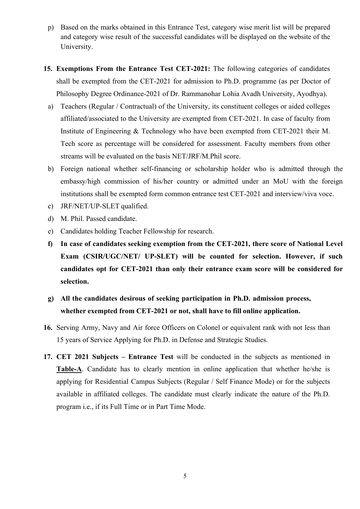- p) Based on the marks obtained in this Entrance Test, category wise merit list will be prepared and category wise result of the successful candidates will be displayed on the website of the University.
- 15. Exemptions From the Entrance Test CET-2021: The following categories of candidates shall be exempted from the CET-2021 for admission to Ph.D. programme (as per Doctor of Philosophy Degree Ordinance-2021 of Dr. Rammanohar Lohia Avadh University, Ayodhya).
- a) Teachers (Regular / Contractual) of the University, its constituent colleges or aided colleges affiliated/associated to the University are exempted from CET-2021. In case of faculty from Institute of Engineering & Technology who have been exempted from CET-2021 their M. Tech score as percentage will be considered for assessment. Faculty members from other streams will be evaluated on the basis NET/JRF/M.Phil score.
- b) Foreign national whether self-financing or scholarship holder who is admitted through the embassy/high commission of his/her country or admitted under an MoU with the foreign institutions shall be exempted form common entrance test CET-2021 and interview/viva voce.
- c) JRF/NET/UP-SLET qualified.
- d) M. Phil. Passed candidate.
- e) Candidates holding Teacher Fellowship for research.
- f) In case of candidates seeking exemption from the CET-2021, there score of National Level Exam (CSIR/UGC/NET/ UP-SLET) will be counted for selection. However, if such candidates opt for CET-2021 than only their entrance exam score will be considered for selection.
- g) All the candidates desirous of seeking participation in Ph.D. admission process, whether exempted from CET-2021 or not, shall have to fill online application.
- 16. Serving Army, Navy and Air force Officers on Colonel or equivalent rank with not less than 15 years of Service Applying for Ph.D. in Defense and Strategic Studies.
- 17. CET 2021 Subjects Entrance Test will be conducted in the subjects as mentioned in Table-A. Candidate has to clearly mention in online application that whether he/she is applying for Residential Campus Subjects (Regular / Self Finance Mode) or for the subjects available in affiliated colleges. The candidate must clearly indicate the nature of the Ph.D. program i.e., if its Full Time or in Part Time Mode.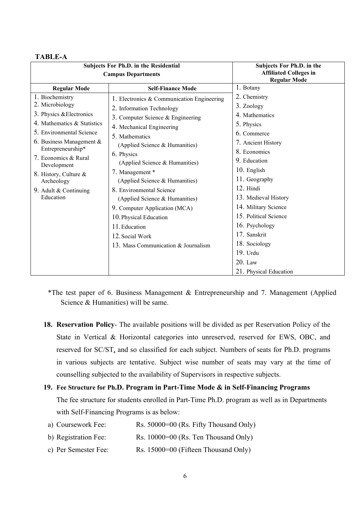#### TABLE-A

| Subjects For Ph.D. in the Residential<br><b>Campus Departments</b> |                                            | Subjects For Ph.D. in the<br><b>Affiliated Colleges in</b><br><b>Regular Mode</b> |
|--------------------------------------------------------------------|--------------------------------------------|-----------------------------------------------------------------------------------|
| <b>Regular Mode</b>                                                | <b>Self-Finance Mode</b>                   | 1. Botany                                                                         |
| 1. Biochemistry<br>2. Microbiology                                 | 1. Electronics & Communication Engineering | 2. Chemistry                                                                      |
|                                                                    | 2. Information Technology                  | 3. Zoology                                                                        |
| 3. Physics & Electronics                                           | 3. Computer Science & Engineering          | 4. Mathematics                                                                    |
| 4. Mathematics & Statistics                                        | 4. Mechanical Engineering                  | 5. Physics                                                                        |
| 5. Environmental Science                                           | 5. Mathematics                             | 6. Commerce                                                                       |
| 6. Business Management $&$                                         | (Applied Science & Humanities)             | 7. Ancient History                                                                |
| Entrepreneurship*                                                  | 6. Physics                                 | 8. Economics                                                                      |
| 7. Economics & Rural<br>Development                                | (Applied Science & Humanities)             | 9. Education                                                                      |
| 8. History, Culture &                                              | 7. Management *                            | 10. English                                                                       |
| Archeology                                                         | (Applied Science & Humanities)             | 11. Geography                                                                     |
| 9. Adult & Continuing                                              | 8. Environmental Science                   | 12. Hindi                                                                         |
| Education                                                          | (Applied Science & Humanities)             | 13. Medieval History                                                              |
|                                                                    | 9. Computer Application (MCA)              | 14. Military Science                                                              |
|                                                                    | 10. Physical Education                     | 15. Political Science                                                             |
|                                                                    | 11. Education                              | 16. Psychology                                                                    |
|                                                                    | 12. Social Work                            | 17. Sanskrit                                                                      |
|                                                                    | 13. Mass Communication & Journalism        | 18. Sociology                                                                     |
|                                                                    |                                            | 19. Urdu                                                                          |
|                                                                    |                                            | $20.$ Law                                                                         |
|                                                                    |                                            | 21. Physical Education                                                            |

- \*The test paper of 6. Business Management & Entrepreneurship and 7. Management (Applied Science & Humanities) will be same.
- 18. Reservation Policy- The available positions will be divided as per Reservation Policy of the State in Vertical & Horizontal categories into unreserved, reserved for EWS, OBC, and reserved for SC/ST, and so classified for each subject. Numbers of seats for Ph.D. programs in various subjects are tentative. Subject wise number of seats may vary at the time of counselling subjected to the availability of Supervisors in respective subjects.
- 19. Fee Structure for Ph.D. Program in Part-Time Mode & in Self-Financing Programs The fee structure for students enrolled in Part-Time Ph.D. program as well as in Departments with Self-Financing Programs is as below:
	- a) Coursework Fee: Rs. 50000=00 (Rs. Fifty Thousand Only)
	- b) Registration Fee: Rs. 10000=00 (Rs. Ten Thousand Only)
	- c) Per Semester Fee: Rs. 15000=00 (Fifteen Thousand Only)